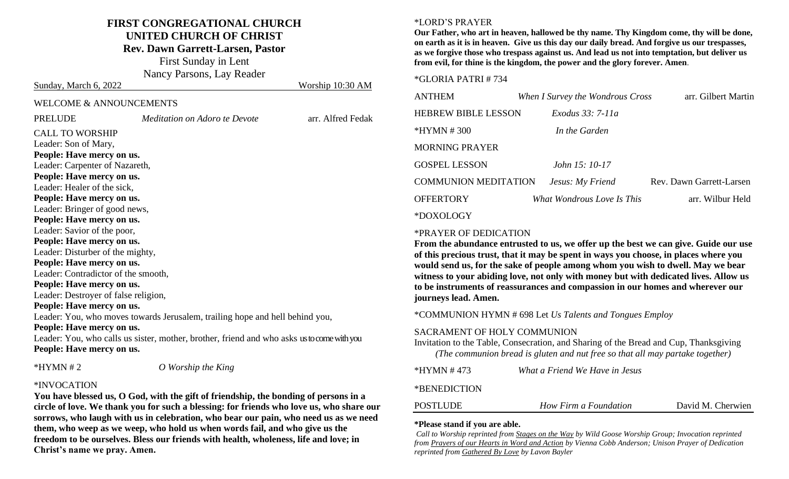## **FIRST CONGREGATIONAL CHURCH UNITED CHURCH OF CHRIST Rev. Dawn Garrett-Larsen, Pastor**

First Sunday in Lent Nancy Parsons, Lay Reader

Sunday, March 6, 2022 Worship 10:30 AM

| <b>WELCOME &amp; ANNOUNCEMENTS</b> |
|------------------------------------|

| <b>PRELUDE</b>                       | Meditation on Adoro te Devote                                                              | arr. Alfred Fedak |
|--------------------------------------|--------------------------------------------------------------------------------------------|-------------------|
| <b>CALL TO WORSHIP</b>               |                                                                                            |                   |
| Leader: Son of Mary,                 |                                                                                            |                   |
| People: Have mercy on us.            |                                                                                            |                   |
| Leader: Carpenter of Nazareth,       |                                                                                            |                   |
| People: Have mercy on us.            |                                                                                            |                   |
| Leader: Healer of the sick,          |                                                                                            |                   |
| People: Have mercy on us.            |                                                                                            |                   |
| Leader: Bringer of good news,        |                                                                                            |                   |
| People: Have mercy on us.            |                                                                                            |                   |
| Leader: Savior of the poor,          |                                                                                            |                   |
| People: Have mercy on us.            |                                                                                            |                   |
| Leader: Disturber of the mighty,     |                                                                                            |                   |
| People: Have mercy on us.            |                                                                                            |                   |
| Leader: Contradictor of the smooth,  |                                                                                            |                   |
| People: Have mercy on us.            |                                                                                            |                   |
| Leader: Destroyer of false religion, |                                                                                            |                   |
| People: Have mercy on us.            |                                                                                            |                   |
|                                      | Leader: You, who moves towards Jerusalem, trailing hope and hell behind you,               |                   |
| People: Have mercy on us.            |                                                                                            |                   |
|                                      | Leader: You, who calls us sister, mother, brother, friend and who asks us to come with you |                   |
| People: Have mercy on us.            |                                                                                            |                   |
| $*HYMN \# 2$                         | O Worship the King                                                                         |                   |

#### \*INVOCATION

**You have blessed us, O God, with the gift of friendship, the bonding of persons in a circle of love. We thank you for such a blessing: for friends who love us, who share our sorrows, who laugh with us in celebration, who bear our pain, who need us as we need them, who weep as we weep, who hold us when words fail, and who give us the freedom to be ourselves. Bless our friends with health, wholeness, life and love; in Christ's name we pray. Amen.** 

#### \*LORD'S PRAYER

**Our Father, who art in heaven, hallowed be thy name. Thy Kingdom come, thy will be done, on earth as it is in heaven. Give us this day our daily bread. And forgive us our trespasses, as we forgive those who trespass against us. And lead us not into temptation, but deliver us from evil, for thine is the kingdom, the power and the glory forever. Amen**.

#### \*GLORIA PATRI # 734

| <b>ANTHEM</b>               | When I Survey the Wondrous Cross | arr. Gilbert Martin      |
|-----------------------------|----------------------------------|--------------------------|
| <b>HEBREW BIBLE LESSON</b>  | Exodus 33: 7-11a                 |                          |
| $*HYMN # 300$               | In the Garden                    |                          |
| <b>MORNING PRAYER</b>       |                                  |                          |
| <b>GOSPEL LESSON</b>        | John 15: 10-17                   |                          |
| <b>COMMUNION MEDITATION</b> | Jesus: My Friend                 | Rev. Dawn Garrett-Larsen |
| <b>OFFERTORY</b>            | What Wondrous Love Is This       | arr. Wilbur Held         |
| *DOXOLOGY                   |                                  |                          |

#### \*PRAYER OF DEDICATION

**From the abundance entrusted to us, we offer up the best we can give. Guide our use of this precious trust, that it may be spent in ways you choose, in places where you would send us, for the sake of people among whom you wish to dwell. May we bear witness to your abiding love, not only with money but with dedicated lives. Allow us to be instruments of reassurances and compassion in our homes and wherever our journeys lead. Amen.**

\*COMMUNION HYMN # 698 Let *Us Talents and Tongues Employ*

#### SACRAMENT OF HOLY COMMUNION

Invitation to the Table, Consecration, and Sharing of the Bread and Cup, Thanksgiving *(The communion bread is gluten and nut free so that all may partake together)*

| What a Friend We Have in Jesus<br>*HYMN # 473 |
|-----------------------------------------------|
|-----------------------------------------------|

#### \*BENEDICTION

| <b>POSTLUDE</b><br>David M. Cherwien<br>How Firm a Foundation |
|---------------------------------------------------------------|
|---------------------------------------------------------------|

#### **\*Please stand if you are able.**

*Call to Worship reprinted from Stages on the Way by Wild Goose Worship Group; Invocation reprinted from Prayers of our Hearts in Word and Action by Vienna Cobb Anderson; Unison Prayer of Dedication reprinted from Gathered By Love by Lavon Bayler*